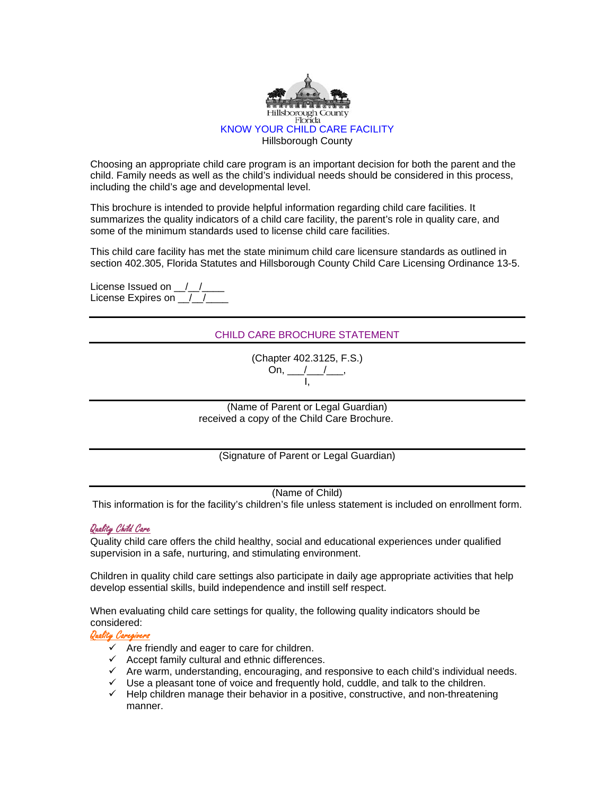

Choosing an appropriate child care program is an important decision for both the parent and the child. Family needs as well as the child's individual needs should be considered in this process, including the child's age and developmental level.

This brochure is intended to provide helpful information regarding child care facilities. It summarizes the quality indicators of a child care facility, the parent's role in quality care, and some of the minimum standards used to license child care facilities.

This child care facility has met the state minimum child care licensure standards as outlined in section 402.305, Florida Statutes and Hillsborough County Child Care Licensing Ordinance 13-5.

License Issued on  $_ /_ /_$ License Expires on 1/2

# CHILD CARE BROCHURE STATEMENT

(Chapter 402.3125, F.S.) On, \_\_\_/\_\_\_/\_\_\_, I,

(Name of Parent or Legal Guardian) received a copy of the Child Care Brochure.

(Signature of Parent or Legal Guardian)

(Name of Child)

This information is for the facility's children's file unless statement is included on enrollment form.

## Quality Child Care

Quality child care offers the child healthy, social and educational experiences under qualified supervision in a safe, nurturing, and stimulating environment.

Children in quality child care settings also participate in daily age appropriate activities that help develop essential skills, build independence and instill self respect.

When evaluating child care settings for quality, the following quality indicators should be considered:

Quality Caregivers

- $\checkmark$  Are friendly and eager to care for children.
- $\checkmark$  Accept family cultural and ethnic differences.
- $\checkmark$  Are warm, understanding, encouraging, and responsive to each child's individual needs.
- $\checkmark$  Use a pleasant tone of voice and frequently hold, cuddle, and talk to the children.
- $\checkmark$  Help children manage their behavior in a positive, constructive, and non-threatening manner.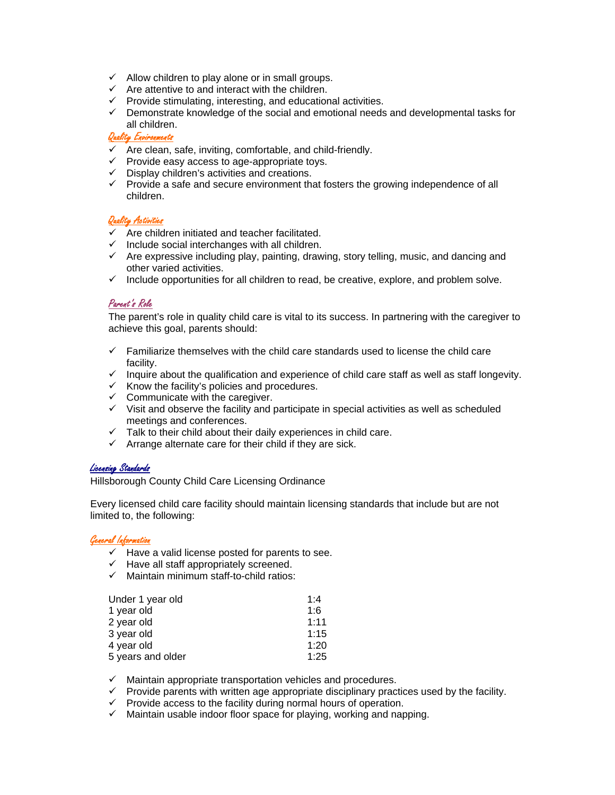- $\checkmark$  Allow children to play alone or in small groups.
- $\checkmark$  Are attentive to and interact with the children.
- $\checkmark$  Provide stimulating, interesting, and educational activities.
- $\checkmark$  Demonstrate knowledge of the social and emotional needs and developmental tasks for all children.

## Quality Environments

- $\checkmark$  Are clean, safe, inviting, comfortable, and child-friendly.
- $\checkmark$  Provide easy access to age-appropriate toys.
- $\checkmark$  Display children's activities and creations.
- $\checkmark$  Provide a safe and secure environment that fosters the growing independence of all children.

## Quality Activities

- $\checkmark$  Are children initiated and teacher facilitated.
- $\checkmark$  Include social interchanges with all children.
- $\checkmark$  Are expressive including play, painting, drawing, story telling, music, and dancing and other varied activities.
- $\checkmark$  Include opportunities for all children to read, be creative, explore, and problem solve.

## Parent's Role

The parent's role in quality child care is vital to its success. In partnering with the caregiver to achieve this goal, parents should:

- $\checkmark$  Familiarize themselves with the child care standards used to license the child care facility.
- $\checkmark$  Inquire about the qualification and experience of child care staff as well as staff longevity.
- $\checkmark$  Know the facility's policies and procedures.
- $\checkmark$  Communicate with the caregiver.
- $\checkmark$  Visit and observe the facility and participate in special activities as well as scheduled meetings and conferences.
- $\checkmark$  Talk to their child about their daily experiences in child care.
- $\checkmark$  Arrange alternate care for their child if they are sick.

## Licensing Standards

Hillsborough County Child Care Licensing Ordinance

Every licensed child care facility should maintain licensing standards that include but are not limited to, the following:

# General Information

- $\checkmark$  Have a valid license posted for parents to see.
- $\checkmark$  Have all staff appropriately screened.
- $\checkmark$  Maintain minimum staff-to-child ratios:

| Under 1 year old  | 1.4  |
|-------------------|------|
| 1 year old        | 1:6  |
| 2 year old        | 1:11 |
| 3 year old        | 1:15 |
| 4 year old        | 1:20 |
| 5 years and older | 1:25 |

- $\checkmark$  Maintain appropriate transportation vehicles and procedures.
- $\checkmark$  Provide parents with written age appropriate disciplinary practices used by the facility.
- $\checkmark$  Provide access to the facility during normal hours of operation.
- $\checkmark$  Maintain usable indoor floor space for playing, working and napping.